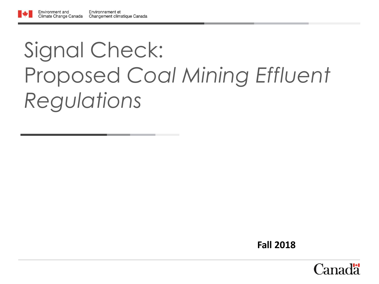# Signal Check: Proposed *Coal Mining Effluent Regulations*

**Fall 2018**

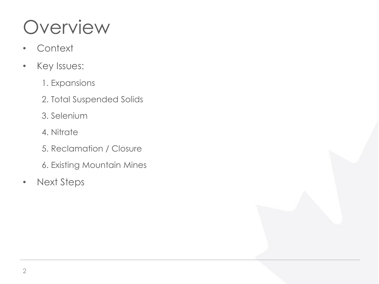## Overview

- Context
- Key Issues:
	- 1. Expansions
	- 2. Total Suspended Solids
	- 3. Selenium
	- 4. Nitrate
	- 5. Reclamation / Closure
	- 6. Existing Mountain Mines
- Next Steps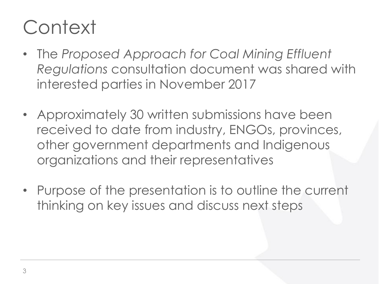## **Context**

- The *Proposed Approach for Coal Mining Effluent Regulations* consultation document was shared with interested parties in November 2017
- Approximately 30 written submissions have been received to date from industry, ENGOs, provinces, other government departments and Indigenous organizations and their representatives
- Purpose of the presentation is to outline the current thinking on key issues and discuss next steps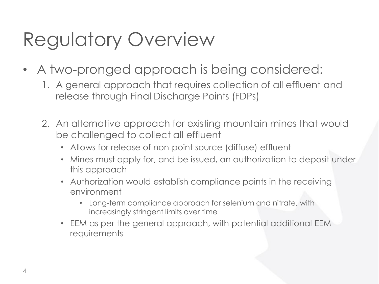## Regulatory Overview

- A two-pronged approach is being considered:
	- 1. A general approach that requires collection of all effluent and release through Final Discharge Points (FDPs)
	- 2. An alternative approach for existing mountain mines that would be challenged to collect all effluent
		- Allows for release of non-point source (diffuse) effluent
		- Mines must apply for, and be issued, an authorization to deposit under this approach
		- Authorization would establish compliance points in the receiving environment
			- Long-term compliance approach for selenium and nitrate, with increasingly stringent limits over time
		- EEM as per the general approach, with potential additional EEM requirements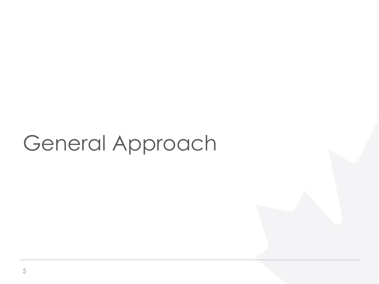# General Approach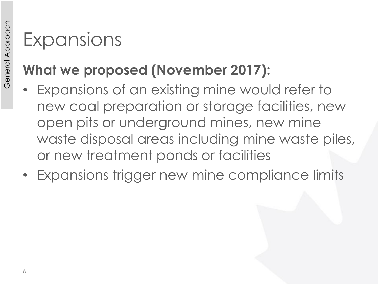#### **What we proposed (November 2017):**

- Expansions of an existing mine would refer to new coal preparation or storage facilities, new open pits or underground mines, new mine waste disposal areas including mine waste piles, or new treatment ponds or facilities
- Expansions trigger new mine compliance limits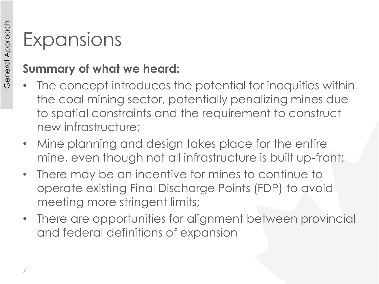- The concept introduces the potential for inequities within the coal mining sector, potentially penalizing mines due to spatial constraints and the requirement to construct new infrastructure;
- Mine planning and design takes place for the entire mine, even though not all infrastructure is built up-front;
- There may be an incentive for mines to continue to operate existing Final Discharge Points (FDP) to avoid meeting more stringent limits;
- There are opportunities for alignment between provincial and federal definitions of expansion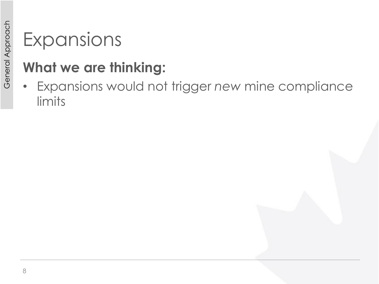#### **What we are thinking:**

• Expansions would not trigger *new* mine compliance limits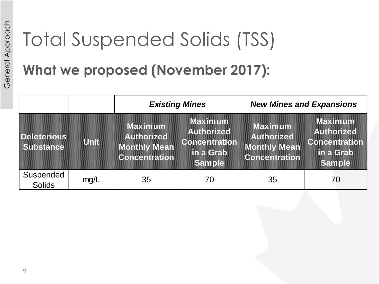# Total Suspended Solids (TSS)

#### **What we proposed (November 2017):**

|                                 |      | <b>Existing Mines</b>                                                |                                                                             | <b>New Mines and Expansions</b>                                             |                                                                             |  |
|---------------------------------|------|----------------------------------------------------------------------|-----------------------------------------------------------------------------|-----------------------------------------------------------------------------|-----------------------------------------------------------------------------|--|
| <b>Deleterious</b><br>Substance | Unit | Maximum<br><b>Authorized</b><br>Monthly Mean<br><b>Concentration</b> | Maximum<br><b>Authorized</b><br>Concentration<br>in a Grab<br><b>Sample</b> | Maximum<br><b>Authorized</b><br><b>Monthly Mean</b><br><b>Concentration</b> | Maximum<br><b>Authorized</b><br><b>Concentration</b><br>in a Grab<br>Sample |  |
| Suspended<br>Solids             | mg/L | 35                                                                   | 70                                                                          | 35                                                                          | 70                                                                          |  |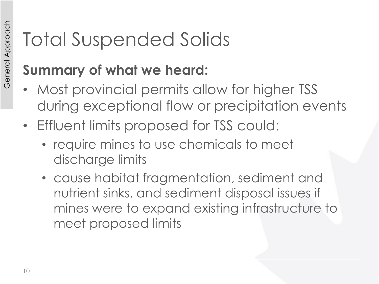- Most provincial permits allow for higher TSS during exceptional flow or precipitation events
- Effluent limits proposed for TSS could:
	- require mines to use chemicals to meet discharge limits
	- cause habitat fragmentation, sediment and nutrient sinks, and sediment disposal issues if mines were to expand existing infrastructure to meet proposed limits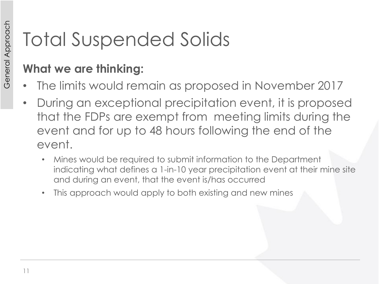#### **What we are thinking:**

- The limits would remain as proposed in November 2017
- During an exceptional precipitation event, it is proposed that the FDPs are exempt from meeting limits during the event and for up to 48 hours following the end of the event.
	- Mines would be required to submit information to the Department indicating what defines a 1-in-10 year precipitation event at their mine site and during an event, that the event is/has occurred
	- This approach would apply to both existing and new mines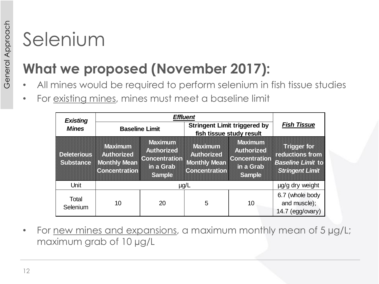## **What we proposed (November 2017):**

- All mines would be required to perform selenium in fish tissue studies
- For existing mines, mines must meet a baseline limit

| <b>Existing</b>                        |                                                                                    |                                                                                    |                                                                                    |                                                                             |                                                                                      |
|----------------------------------------|------------------------------------------------------------------------------------|------------------------------------------------------------------------------------|------------------------------------------------------------------------------------|-----------------------------------------------------------------------------|--------------------------------------------------------------------------------------|
| <b>Mines</b>                           | <b>Baseline Limit</b>                                                              |                                                                                    | <b>Stringent Limit triggered by</b><br>fish tissue study result                    |                                                                             | <b>Fish Tissue</b>                                                                   |
| <b>Deleterious</b><br><b>Substance</b> | <b>Maximum</b><br><b>Authorized</b><br><b>Monthly Mean</b><br><b>Concentration</b> | <b>Maximum</b><br><b>Authorized</b><br><b>Concentration</b><br>in a Grab<br>Sample | <b>Maximum</b><br><b>Authorized</b><br><b>Monthly Mean</b><br><b>Concentration</b> | Maximum<br><b>Authorized</b><br><b>Concentration</b><br>in a Grab<br>Sample | Triccer for<br>reductions from<br><b>Baseline Limit to</b><br><b>Stringent Limit</b> |
| Unit                                   | $\mu$ g/L                                                                          |                                                                                    |                                                                                    | µg/g dry weight                                                             |                                                                                      |
| Total<br>Selenium                      | 10                                                                                 | 20                                                                                 | 5                                                                                  | 10                                                                          | 6.7 (whole body<br>and muscle);<br>$14.7$ (egg/ovary)                                |

• For new mines and expansions, a maximum monthly mean of 5 µg/L; maximum grab of 10 µg/L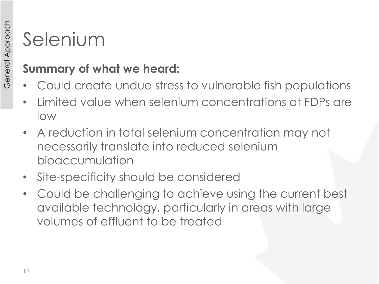- Could create undue stress to vulnerable fish populations
- Limited value when selenium concentrations at FDPs are low
- A reduction in total selenium concentration may not necessarily translate into reduced selenium bioaccumulation
- Site-specificity should be considered
- Could be challenging to achieve using the current best available technology, particularly in areas with large volumes of effluent to be treated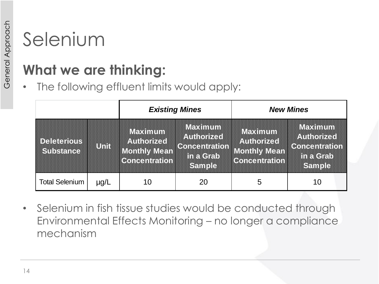#### **What we are thinking:**

• The following effluent limits would apply:

|                                       |      | <b>Existing Mines</b>                                                             |                                                                           | <b>New Mines</b>                                                            |                                                                           |
|---------------------------------------|------|-----------------------------------------------------------------------------------|---------------------------------------------------------------------------|-----------------------------------------------------------------------------|---------------------------------------------------------------------------|
| <b>De eterots</b><br><b>Substance</b> | UNI  | <b>Maximum</b><br><b>Authorized</b><br><b>Monthy Mean</b><br><b>Concentration</b> | Maximum<br><b>Authorized</b><br><b>Concentration</b><br>the Gab<br>Samole | Maximum<br><b>Authorized</b><br><b>Monthly Mean</b><br><b>Concentration</b> | Maximum<br><b>Authorized</b><br><b>Concentration</b><br>tha Gab<br>Sample |
| <b>Total Selenium</b>                 | µg/L | 10                                                                                | 20                                                                        | 5                                                                           | 10                                                                        |

• Selenium in fish tissue studies would be conducted through Environmental Effects Monitoring – no longer a compliance mechanism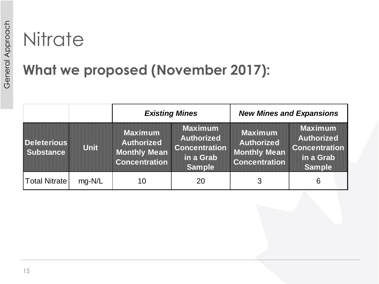## **Nitrate**

#### **What we proposed (November 2017):**

|                                        |        | <b>Existing Mines</b>                                                 |                                                                                           | <b>New Mines and Expansions</b>                                             |                                                                             |
|----------------------------------------|--------|-----------------------------------------------------------------------|-------------------------------------------------------------------------------------------|-----------------------------------------------------------------------------|-----------------------------------------------------------------------------|
| <b>Deleterious</b><br><b>Substance</b> | UNN    | Maximum<br><b>Authorized</b><br>Monthly Mean<br><b>Concentration!</b> | Maximum<br><b>Authorized</b><br><b>Concentration</b><br><b>In a Grab</b><br><b>Sample</b> | Maximum<br><b>Authorized</b><br><b>Monthly Mean</b><br><b>Concentration</b> | Maximum<br><b>Authorized</b><br><b>Concentration</b><br>in a Grab<br>Sample |
| <b>Total Nitrate</b>                   | mg-N/L | 10                                                                    | 20                                                                                        |                                                                             | 6                                                                           |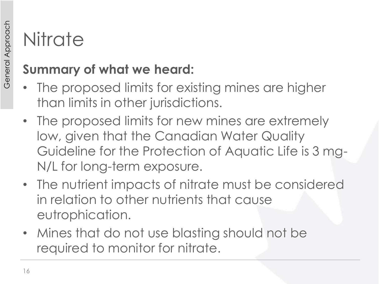# **Nitrate**

- The proposed limits for existing mines are higher than limits in other jurisdictions.
- The proposed limits for new mines are extremely low, given that the Canadian Water Quality Guideline for the Protection of Aquatic Life is 3 mg-N/L for long-term exposure.
- The nutrient impacts of nitrate must be considered in relation to other nutrients that cause eutrophication.
- Mines that do not use blasting should not be required to monitor for nitrate.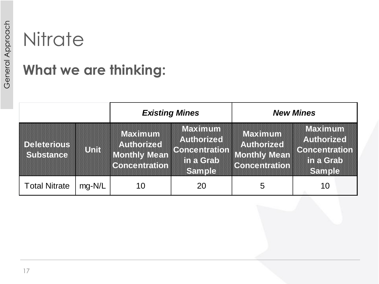## **Nitrate**

#### **What we are thinking:**

|                                        |          | <b>Existing Mines</b>                                               |                                                                    | <b>New Mines</b>                                                     |                                                                             |
|----------------------------------------|----------|---------------------------------------------------------------------|--------------------------------------------------------------------|----------------------------------------------------------------------|-----------------------------------------------------------------------------|
| <b>Deleterious</b><br><b>Substance</b> | Unid     | Maximum<br><b>Authorized</b><br>Monthy Mean<br><b>Concentration</b> | Maximum<br><b>Authorized</b><br>Concentration<br>ma Grab<br>Sample | Maximum<br><b>Authorized</b><br>Monthly Mean<br><b>Concentration</b> | Maximum<br><b>Authorized</b><br><b>Concentration</b><br>in a Grab<br>Sample |
| <b>Total Nitrate</b>                   | $mq-N/L$ | 10                                                                  | 20                                                                 | 5                                                                    | 10                                                                          |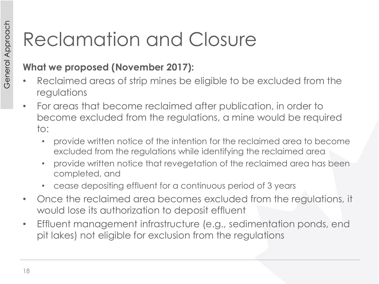# Reclamation and Closure

#### **What we proposed (November 2017):**

- Reclaimed areas of strip mines be eligible to be excluded from the regulations
- For areas that become reclaimed after publication, in order to become excluded from the regulations, a mine would be required to:
	- provide written notice of the intention for the reclaimed area to become excluded from the regulations while identifying the reclaimed area
	- provide written notice that revegetation of the reclaimed area has been completed, and
	- cease depositing effluent for a continuous period of 3 years
- Once the reclaimed area becomes excluded from the regulations, it would lose its authorization to deposit effluent
- Effluent management infrastructure (e.g., sedimentation ponds, end pit lakes) not eligible for exclusion from the regulations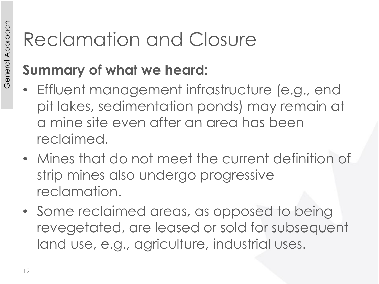# Reclamation and Closure

- Effluent management infrastructure (e.g., end pit lakes, sedimentation ponds) may remain at a mine site even after an area has been reclaimed.
- Mines that do not meet the current definition of strip mines also undergo progressive reclamation.
- Some reclaimed areas, as opposed to being revegetated, are leased or sold for subsequent land use, e.g., agriculture, industrial uses.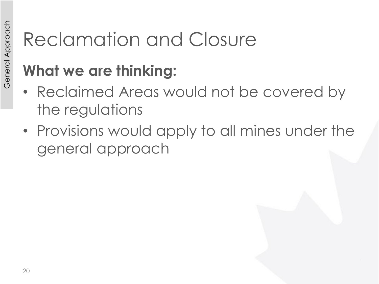## Reclamation and Closure

## **What we are thinking:**

- Reclaimed Areas would not be covered by the regulations
- Provisions would apply to all mines under the general approach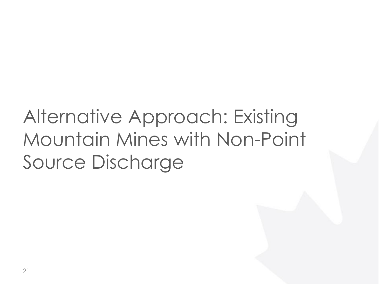# Alternative Approach: Existing Mountain Mines with Non-Point Source Discharge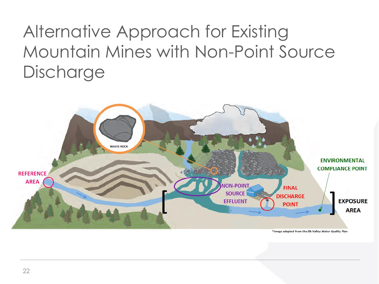## Alternative Approach for Existing Mountain Mines with Non-Point Source **Discharge**



\*Image adapted from the Elk Valley Water Quality Plan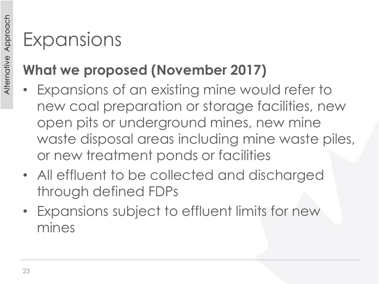## **What we proposed (November 2017)**

- Expansions of an existing mine would refer to new coal preparation or storage facilities, new open pits or underground mines, new mine waste disposal areas including mine waste piles, or new treatment ponds or facilities
- All effluent to be collected and discharged through defined FDPs
- Expansions subject to effluent limits for new mines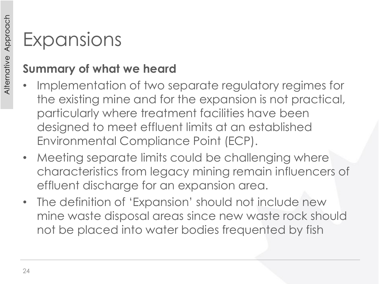- Implementation of two separate regulatory regimes for the existing mine and for the expansion is not practical, particularly where treatment facilities have been designed to meet effluent limits at an established Environmental Compliance Point (ECP).
- Meeting separate limits could be challenging where characteristics from legacy mining remain influencers of effluent discharge for an expansion area.
- The definition of 'Expansion' should not include new mine waste disposal areas since new waste rock should not be placed into water bodies frequented by fish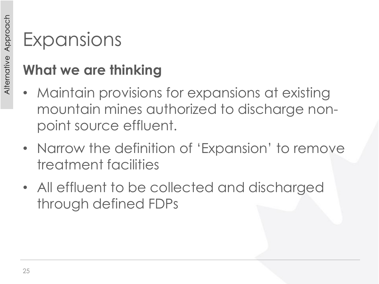#### **What we are thinking**

- Maintain provisions for expansions at existing mountain mines authorized to discharge nonpoint source effluent.
- Narrow the definition of 'Expansion' to remove treatment facilities
- All effluent to be collected and discharged through defined FDPs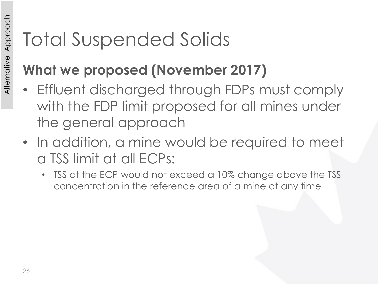## **What we proposed (November 2017)**

- Effluent discharged through FDPs must comply with the FDP limit proposed for all mines under the general approach
- In addition, a mine would be required to meet a TSS limit at all ECPs:
	- TSS at the ECP would not exceed a 10% change above the TSS concentration in the reference area of a mine at any time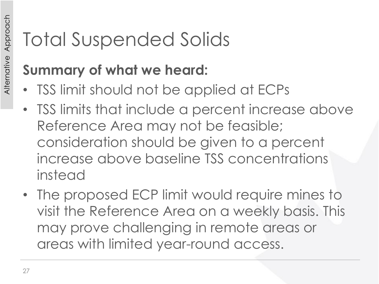- TSS limit should not be applied at ECPs
- TSS limits that include a percent increase above Reference Area may not be feasible; consideration should be given to a percent increase above baseline TSS concentrations instead
- The proposed ECP limit would require mines to visit the Reference Area on a weekly basis. This may prove challenging in remote areas or areas with limited year-round access.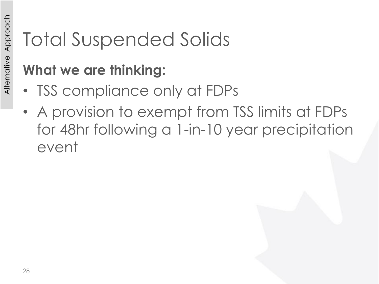## **What we are thinking:**

- TSS compliance only at FDPs
- A provision to exempt from TSS limits at FDPs for 48hr following a 1-in-10 year precipitation event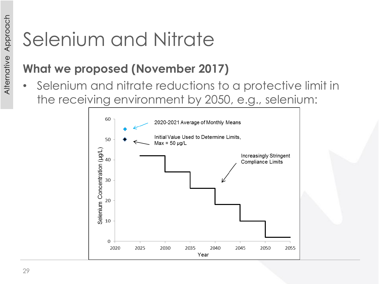## Selenium and Nitrate

#### **What we proposed (November 2017)**

• Selenium and nitrate reductions to a protective limit in the receiving environment by 2050, e.g., selenium:

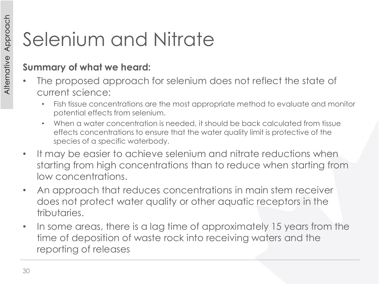# Selenium and Nitrate

- The proposed approach for selenium does not reflect the state of current science:
	- Fish tissue concentrations are the most appropriate method to evaluate and monitor potential effects from selenium.
	- When a water concentration is needed, it should be back calculated from tissue effects concentrations to ensure that the water quality limit is protective of the species of a specific waterbody.
- It may be easier to achieve selenium and nitrate reductions when starting from high concentrations than to reduce when starting from low concentrations.
- An approach that reduces concentrations in main stem receiver does not protect water quality or other aquatic receptors in the tributaries.
- In some areas, there is a lag time of approximately 15 years from the time of deposition of waste rock into receiving waters and the reporting of releases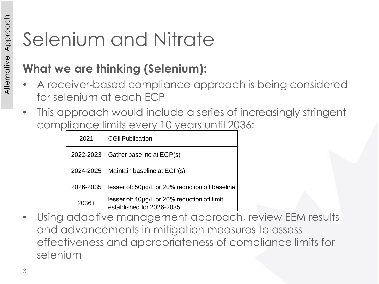## Selenium and Nitrate

#### **What we are thinking (Selenium):**

- A receiver-based compliance approach is being considered for selenium at each ECP
- This approach would include a series of increasingly stringent compliance limits every 10 years until 2036:

| 2021      | <b>CGII Publication</b>                                                   |
|-----------|---------------------------------------------------------------------------|
| 2022-2023 | Gather baseline at ECP(s)                                                 |
| 2024-2025 | Maintain baseline at ECP(s)                                               |
| 2026-2035 | lesser of: 50µg/L or 20% reduction off baseline                           |
| $2036+$   | lesser of: 40µg/L or 20% reduction off limit<br>established for 2026-2035 |

• Using adaptive management approach, review EEM results and advancements in mitigation measures to assess effectiveness and appropriateness of compliance limits for selenium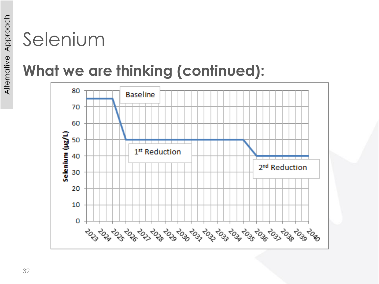## **What we are thinking (continued):**